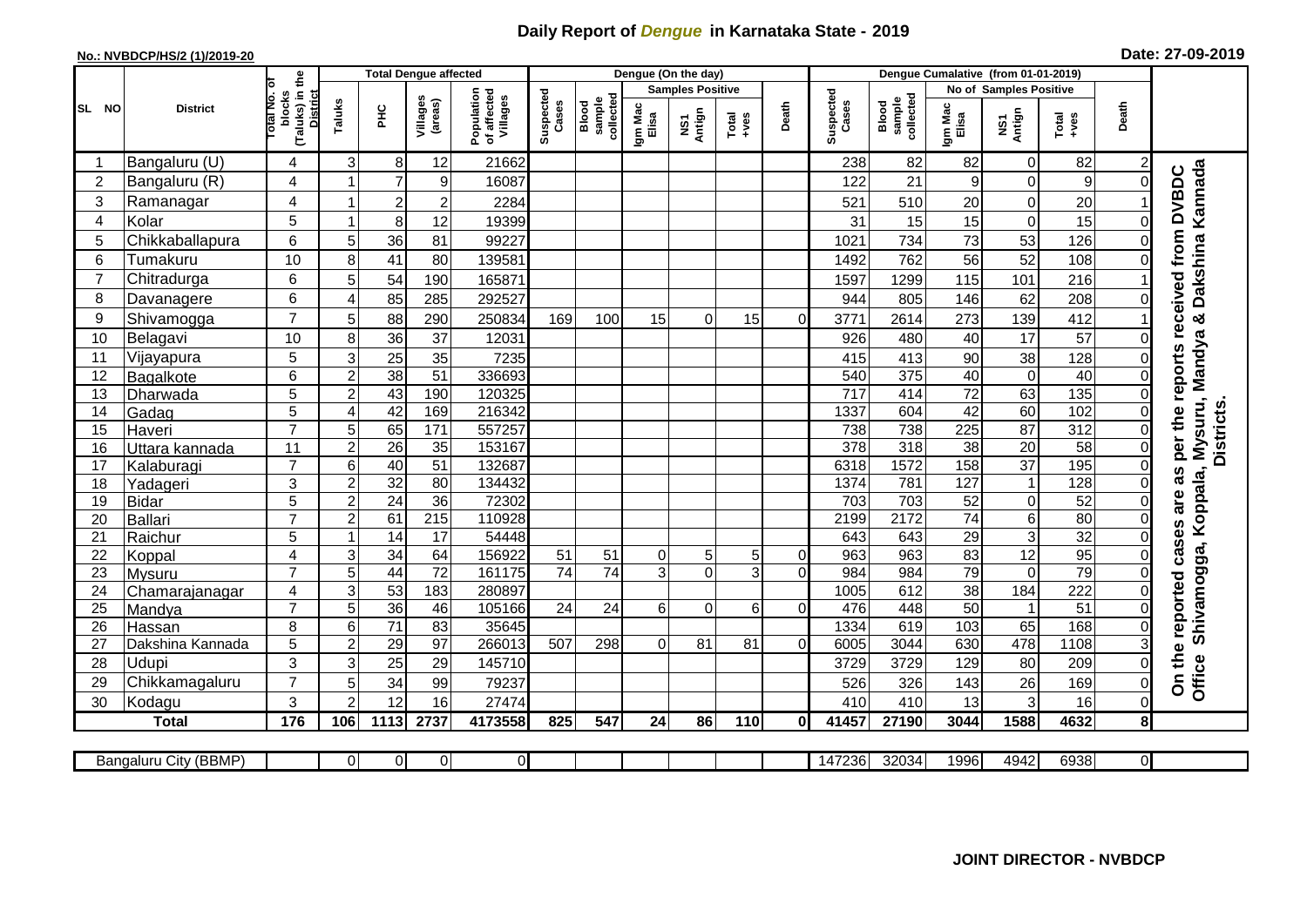## **Daily Report of** *Dengue* **in Karnataka State - 2019**

## **No.: NVBDCP/HS/2 (1)/2019-20 Date: 27-09-2019**

|                 |                       |                                                           |                  | <b>Total Dengue affected</b> |                         |                                       |                                |                              |                  | Dengue (On the day)               |                  |                |                    |                                     |                  |                        |                  |                |                                                            |
|-----------------|-----------------------|-----------------------------------------------------------|------------------|------------------------------|-------------------------|---------------------------------------|--------------------------------|------------------------------|------------------|-----------------------------------|------------------|----------------|--------------------|-------------------------------------|------------------|------------------------|------------------|----------------|------------------------------------------------------------|
|                 |                       | ō                                                         |                  |                              |                         |                                       |                                |                              |                  | <b>Samples Positive</b>           |                  |                |                    |                                     |                  | No of Samples Positive |                  |                |                                                            |
| <b>SL NO</b>    | <b>District</b>       | (Taluks) in the<br>lotal No.<br>blocks<br><b>District</b> | Taluks           | ЭHС                          | Villages<br>(areas)     | Population<br>of affected<br>Villages | Suspected<br>s<br><b>Cases</b> | sample<br>collected<br>Blood | Igm Mac<br>Elisa | Antign<br>$\overline{\mathbf{s}}$ | $Tota$<br>$+ves$ | Death          | Suspected<br>Cases | collected<br><b>Blood</b><br>sample | Igm Mac<br>Elisa | NS1<br>Antign          | $Tota$<br>$+ves$ | Death          |                                                            |
|                 | Bangaluru (U)         | 4                                                         | 3                | 8                            | 12                      | 21662                                 |                                |                              |                  |                                   |                  |                | 238                | 82                                  | 82               | $\Omega$               | 82               | 2              |                                                            |
| $\overline{2}$  | Bangaluru (R)         | 4                                                         |                  | $\overline{7}$               | $\boldsymbol{9}$        | 16087                                 |                                |                              |                  |                                   |                  |                | 122                | 21                                  | 9                | $\overline{0}$         | 9                | 0              |                                                            |
| 3               | Ramanagar             | 4                                                         |                  | $\overline{2}$               | $\overline{\mathbf{c}}$ | 2284                                  |                                |                              |                  |                                   |                  |                | 521                | 510                                 | 20               | 0                      | 20               |                | Dakshina Kannada<br>as per the reports received from DVBDC |
| $\overline{4}$  | Kolar                 | 5                                                         | 1                | 8                            | 12                      | 19399                                 |                                |                              |                  |                                   |                  |                | 31                 | 15                                  | 15               | 0                      | 15               | 0              |                                                            |
| 5               | Chikkaballapura       | 6                                                         | 5                | 36                           | 81                      | 99227                                 |                                |                              |                  |                                   |                  |                | 1021               | 734                                 | 73               | 53                     | 126              | 0              |                                                            |
| 6               | Tumakuru              | 10                                                        | 8                | 41                           | 80                      | 139581                                |                                |                              |                  |                                   |                  |                | 1492               | 762                                 | 56               | 52                     | 108              | 0              |                                                            |
| $\overline{7}$  | Chitradurga           | 6                                                         | 5                | 54                           | 190                     | 165871                                |                                |                              |                  |                                   |                  |                | 1597               | 1299                                | 115              | 101                    | 216              |                |                                                            |
| 8               | Davanagere            | 6                                                         | 4                | 85                           | 285                     | 292527                                |                                |                              |                  |                                   |                  |                | 944                | 805                                 | 146              | 62                     | 208              | 0              |                                                            |
| 9               | Shivamogga            | $\overline{7}$                                            | 5                | 88                           | 290                     | 250834                                | 169                            | 100                          | 15               | $\Omega$                          | 15               | $\Omega$       | 3771               | 2614                                | 273              | 139                    | 412              |                | oð                                                         |
| 10              | Belagavi              | 10                                                        | 8                | 36                           | 37                      | 12031                                 |                                |                              |                  |                                   |                  |                | 926                | 480                                 | 40               | 17                     | 57               | 0              | Mysuru, Mandya                                             |
| 11              | Vijayapura            | 5                                                         | 3                | 25                           | 35                      | 7235                                  |                                |                              |                  |                                   |                  |                | 415                | 413                                 | 90               | 38                     | 128              | 0              |                                                            |
| 12              | Bagalkote             | 6                                                         | $\overline{c}$   | 38                           | 51                      | 336693                                |                                |                              |                  |                                   |                  |                | 540                | 375                                 | 40               | $\overline{0}$         | 40               | 0              |                                                            |
| $\overline{13}$ | Dharwada              | $\overline{5}$                                            | $\overline{2}$   | 43                           | 190                     | 120325                                |                                |                              |                  |                                   |                  |                | 717                | 414                                 | 72               | 63                     | 135              | $\overline{0}$ |                                                            |
| 14              | Gadag                 | $\overline{5}$                                            | 4                | 42                           | 169                     | 216342                                |                                |                              |                  |                                   |                  |                | 1337               | 604                                 | 42               | 60                     | 102              | 0              |                                                            |
| 15              | Haveri                | $\overline{7}$                                            | 5                | 65                           | 171                     | 557257                                |                                |                              |                  |                                   |                  |                | 738                | 738                                 | 225              | 87                     | $\overline{312}$ | 0              |                                                            |
| 16              | Uttara kannada        | 11                                                        | $\overline{2}$   | $\overline{26}$              | $\overline{35}$         | 153167                                |                                |                              |                  |                                   |                  |                | 378                | 318                                 | 38               | 20                     | 58               | $\overline{0}$ | <b>Districts</b>                                           |
| 17              | Kalaburagi            | $\overline{7}$                                            | 6                | 40                           | 51                      | 132687                                |                                |                              |                  |                                   |                  |                | 6318               | 1572                                | 158              | 37                     | 195              | 0              |                                                            |
| 18              | Yadageri              | 3                                                         | $\overline{2}$   | 32                           | 80                      | 134432                                |                                |                              |                  |                                   |                  |                | 1374               | 781                                 | 127              | $\overline{1}$         | 128              |                |                                                            |
| 19              | <b>Bidar</b>          | 5                                                         | $\boldsymbol{2}$ | $\overline{24}$              | 36                      | 72302                                 |                                |                              |                  |                                   |                  |                | 703                | 703                                 | 52               | $\overline{0}$         | 52               | 0              |                                                            |
| 20              | <b>Ballari</b>        | $\overline{7}$                                            | $\overline{2}$   | 61                           | $\overline{215}$        | 110928                                |                                |                              |                  |                                   |                  |                | 2199               | 2172                                | $\overline{74}$  | $6 \mid$               | 80               | 0              |                                                            |
| 21              | Raichur               | 5                                                         |                  | 14                           | 17                      | 54448                                 |                                |                              |                  |                                   |                  |                | 643                | 643                                 | 29               | $\overline{3}$         | 32               | 0              | Shivamogga, Koppala,<br>cases are                          |
| 22              | Koppal                | $\overline{\mathbf{4}}$                                   | 3                | 34                           | 64                      | 156922                                | 51                             | 51                           | $\mathbf 0$      | 5                                 | 5                | $\mathbf 0$    | 963                | 963                                 | 83               | $\overline{12}$        | 95               | 0              |                                                            |
| 23              | Mysuru                | $\overline{7}$                                            | $\overline{5}$   | 44                           | $\overline{72}$         | 161175                                | $\overline{74}$                | $\overline{74}$              | 3                | $\Omega$                          | 3                | $\overline{0}$ | 984                | 984                                 | 79               | $\Omega$               | 79               | 0              |                                                            |
| 24              | Chamarajanagar        | 4                                                         | $\overline{3}$   | 53                           | 183                     | 280897                                |                                |                              |                  |                                   |                  |                | 1005               | 612                                 | 38               | 184                    | 222              | 0              |                                                            |
| 25              | Mandya                | $\overline{7}$                                            | $\overline{5}$   | 36                           | 46                      | 105166                                | 24                             | $\overline{24}$              | 6                | $\Omega$                          | 6                | $\mathbf 0$    | 476                | 448                                 | 50               | $\overline{1}$         | 51               | 0              |                                                            |
| 26              | Hassan                | 8                                                         | 6                | $\overline{71}$              | 83                      | 35645                                 |                                |                              |                  |                                   |                  |                | 1334               | 619                                 | 103              | 65                     | 168              | 0              |                                                            |
| 27              | Dakshina Kannada      | 5                                                         | $\overline{2}$   | 29                           | $\overline{97}$         | 266013                                | 507                            | 298                          | $\Omega$         | 81                                | 81               | $\Omega$       | 6005               | 3044                                | 630              | 478                    | 1108             | 3              |                                                            |
| 28              | Udupi                 | 3                                                         | 3                | 25                           | 29                      | 145710                                |                                |                              |                  |                                   |                  |                | 3729               | 3729                                | 129              | 80                     | 209              | 0              | On the reported                                            |
| 29              | Chikkamagaluru        | $\overline{7}$                                            | 5                | 34                           | 99                      | 79237                                 |                                |                              |                  |                                   |                  |                | 526                | 326                                 | 143              | 26                     | 169              | 0              | Office                                                     |
| 30              | Kodagu                | 3                                                         | $\overline{2}$   | 12                           | 16                      | 27474                                 |                                |                              |                  |                                   |                  |                | 410                | 410                                 | 13               | 3                      | 16               | 0              |                                                            |
|                 | <b>Total</b>          | 176                                                       | 106              | 1113                         | 2737                    | 4173558                               | 825                            | 547                          | 24               | 86                                | 110              | 0              | 41457              | 27190                               | 3044             | 1588                   | 4632             | 8              |                                                            |
|                 | Bangaluru City (BBMP) |                                                           | $\Omega$         | $\overline{0}$               | ΟI                      | $\overline{0}$                        |                                |                              |                  |                                   |                  |                | 147236             | 32034                               | 1996             | 4942                   | 6938             | $\overline{0}$ |                                                            |